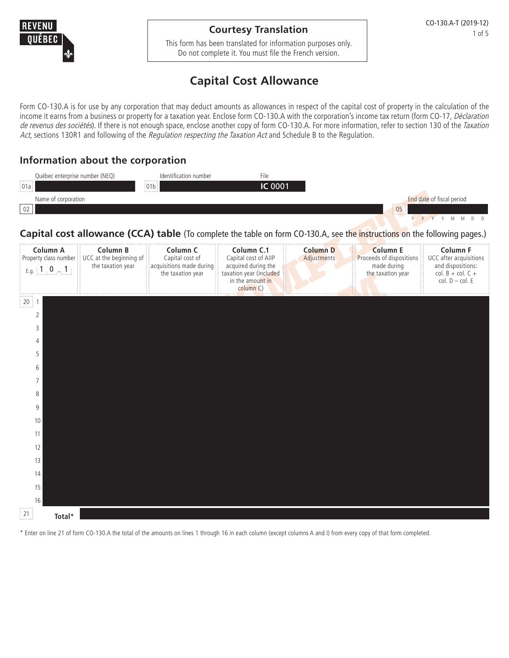

### **Courtesy Translation**

This form has been translated for information purposes only. Do not complete it. You must file the French version.

# **Capital Cost Allowance**

Form CO-130.A is for use by any corporation that may deduct amounts as allowances in respect of the capital cost of property in the calculation of the income it earns from a business or property for a taxation year. Enclose form CO-130.A with the corporation's income tax return (form CO-17, Déclaration de revenus des sociétés). If there is not enough space, enclose another copy of form CO-130.A. For more information, refer to section 130 of the Taxation Act, sections 130R1 and following of the Regulation respecting the Taxation Act and Schedule B to the Regulation.

## **Information about the corporation**



#### **Capital cost allowance (CCA) table** (To complete the table on form CO-130.A, see the instructions on the following pages.)

| Name of corporation<br>02                                                                                                 |                                                                                |                                                                                         |                                                                                                                       |                                | 05                                                                                                                        | End date of fiscal period                                                                           |
|---------------------------------------------------------------------------------------------------------------------------|--------------------------------------------------------------------------------|-----------------------------------------------------------------------------------------|-----------------------------------------------------------------------------------------------------------------------|--------------------------------|---------------------------------------------------------------------------------------------------------------------------|-----------------------------------------------------------------------------------------------------|
|                                                                                                                           |                                                                                |                                                                                         |                                                                                                                       |                                | Capital cost allowance (CCA) table (To complete the table on form CO-130.A, see the instructions on the following pages.) | Y Y Y Y M<br>M<br>$D$ $D$                                                                           |
| Column A<br>$E.g.$ $[1, 0, 1]$                                                                                            | Column B<br>Property class number UCC at the beginning of<br>the taxation year | Column <sub>C</sub><br>Capital cost of<br>acquisitions made during<br>the taxation year | Column C.1<br>Capital cost of AIIP<br>acquired during the<br>taxation year (included<br>in the amount in<br>column C) | <b>Column D</b><br>Adjustments | <b>Column E</b><br>Proceeds of dispositions<br>made during<br>the taxation year                                           | Column F<br>UCC after acquisitions<br>and dispositions:<br>col. $B + col. C +$<br>$col. D - col. E$ |
| $20 \n\begin{array}{c} 1 \n\end{array}$<br>2<br>3<br>4<br>5<br>6<br>7<br>8<br>9<br>10<br>11<br>12<br>13<br>14<br>15<br>16 |                                                                                |                                                                                         |                                                                                                                       |                                |                                                                                                                           |                                                                                                     |
| 21<br>Total*                                                                                                              |                                                                                |                                                                                         |                                                                                                                       |                                |                                                                                                                           |                                                                                                     |

\* Enter on line 21 of form CO-130.A the total of the amounts on lines 1 through 16 in each column (except columns A and I) from every copy of that form completed.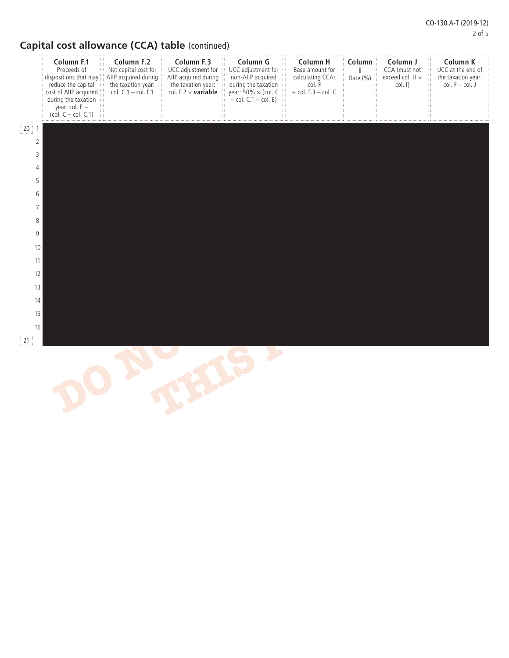# **Capital cost allowance (CCA) table** (continued)

|                              | Column F.1<br>Proceeds of<br>dispositions that may<br>reduce the capital<br>cost of AIIP acquired<br>during the taxation<br>year: $col. E -$<br>$\left(\text{col. } C - \text{col. } C.1\right)$ | Column F.2<br>Net capital cost for<br>AIIP acquired during<br>the taxation year:<br>col. $C.1 - \text{col. } F.1$ | Column F.3<br>UCC adjustment for<br>AIIP acquired during<br>the taxation year:<br>col. $F.2 \times \text{variable}$ | Column G<br>UCC adjustment for<br>non-AllP acquired<br>during the taxation<br>year: $50\% \times$ (col. C<br>$-$ col. $C.1 -$ col. E) | Column H<br>Base amount for<br>calculating CCA:<br>col. F<br>$+$ col. F.3 $-$ col. G | Column<br>Rate (%) | Column J<br>CCA (must not<br>exceed col. H ×<br>$col.$ I) | Column K<br>UCC at the end of<br>the taxation year:<br>$col. F - col. J$ |  |
|------------------------------|--------------------------------------------------------------------------------------------------------------------------------------------------------------------------------------------------|-------------------------------------------------------------------------------------------------------------------|---------------------------------------------------------------------------------------------------------------------|---------------------------------------------------------------------------------------------------------------------------------------|--------------------------------------------------------------------------------------|--------------------|-----------------------------------------------------------|--------------------------------------------------------------------------|--|
| $20 \nmid 1$                 |                                                                                                                                                                                                  |                                                                                                                   |                                                                                                                     |                                                                                                                                       |                                                                                      |                    |                                                           |                                                                          |  |
| $\overline{2}$               |                                                                                                                                                                                                  |                                                                                                                   |                                                                                                                     |                                                                                                                                       |                                                                                      |                    |                                                           |                                                                          |  |
| $\mathsf 3$                  |                                                                                                                                                                                                  |                                                                                                                   |                                                                                                                     |                                                                                                                                       |                                                                                      |                    |                                                           |                                                                          |  |
| $\overline{4}$<br>$\sqrt{5}$ |                                                                                                                                                                                                  |                                                                                                                   |                                                                                                                     |                                                                                                                                       |                                                                                      |                    |                                                           |                                                                          |  |
| $\,$ 6 $\,$                  |                                                                                                                                                                                                  |                                                                                                                   |                                                                                                                     |                                                                                                                                       |                                                                                      |                    |                                                           |                                                                          |  |
| $\overline{7}$               |                                                                                                                                                                                                  |                                                                                                                   |                                                                                                                     |                                                                                                                                       |                                                                                      |                    |                                                           |                                                                          |  |
| $\,8\,$                      |                                                                                                                                                                                                  |                                                                                                                   |                                                                                                                     |                                                                                                                                       |                                                                                      |                    |                                                           |                                                                          |  |
| $\boldsymbol{9}$             |                                                                                                                                                                                                  |                                                                                                                   |                                                                                                                     |                                                                                                                                       |                                                                                      |                    |                                                           |                                                                          |  |
| $10\,$<br>11                 |                                                                                                                                                                                                  |                                                                                                                   |                                                                                                                     |                                                                                                                                       |                                                                                      |                    |                                                           |                                                                          |  |
| 12                           |                                                                                                                                                                                                  |                                                                                                                   |                                                                                                                     |                                                                                                                                       |                                                                                      |                    |                                                           |                                                                          |  |
| 13                           |                                                                                                                                                                                                  |                                                                                                                   |                                                                                                                     |                                                                                                                                       |                                                                                      |                    |                                                           |                                                                          |  |
| 14                           |                                                                                                                                                                                                  |                                                                                                                   |                                                                                                                     |                                                                                                                                       |                                                                                      |                    |                                                           |                                                                          |  |
| 15                           |                                                                                                                                                                                                  |                                                                                                                   |                                                                                                                     |                                                                                                                                       |                                                                                      |                    |                                                           |                                                                          |  |
| 16                           |                                                                                                                                                                                                  |                                                                                                                   |                                                                                                                     |                                                                                                                                       |                                                                                      |                    |                                                           |                                                                          |  |
| 21                           |                                                                                                                                                                                                  |                                                                                                                   |                                                                                                                     |                                                                                                                                       |                                                                                      |                    |                                                           |                                                                          |  |
|                              |                                                                                                                                                                                                  |                                                                                                                   |                                                                                                                     |                                                                                                                                       |                                                                                      |                    |                                                           |                                                                          |  |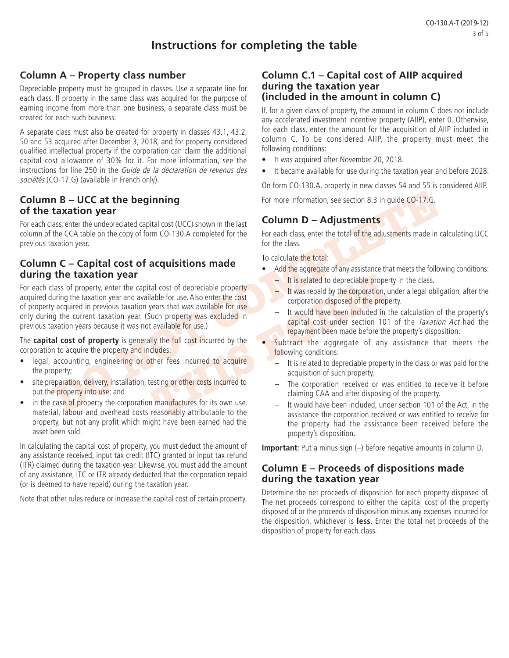# **Instructions for completing the table**

### **Column A – Property class number**

Depreciable property must be grouped in classes. Use a separate line for each class. If property in the same class was acquired for the purpose of earning income from more than one business, a separate class must be created for each such business.

A separate class must also be created for property in classes 43.1, 43.2, 50 and 53 acquired after December 3, 2018, and for property considered qualified intellectual property if the corporation can claim the additional capital cost allowance of 30% for it. For more information, see the instructions for line 250 in the Guide de la déclaration de revenus des sociétés (CO-17.G) (available in French only).

### **Column B – UCC at the beginning of the taxation year**

For each class, enter the undepreciated capital cost (UCC) shown in the last column of the CCA table on the copy of form CO-130.A completed for the previous taxation year.

### **Column C – Capital cost of acquisitions made during the taxation year**

**DOCE A The Section S.3** in guide Co-17.6.<br>
the CCA table on the copy of form CO-130.A completed for the sast<br>
the CCA table on the copy of form CO-130.A completed for the sast<br>
the CCA table on the copy of form CO-130.A c The two-stated to depreciable property<br>
The second term is that was available for use.<br>
The second term is the corporation disposed of the property<br>
was repaid by the corporation disposed of the property<br>
was excluded in<br> For each class of property, enter the capital cost of depreciable property acquired during the taxation year and available for use. Also enter the cost of property acquired in previous taxation years that was available for use only during the current taxation year. (Such property was excluded in previous taxation years because it was not available for use.)

The **capital cost of property** is generally the full cost incurred by the corporation to acquire the property and includes:

- legal, accounting, engineering or other fees incurred to acquire the property;
- site preparation, delivery, installation, testing or other costs incurred to put the property into use; and
- in the case of property the corporation manufactures for its own use, material, labour and overhead costs reasonably attributable to the property, but not any profit which might have been earned had the asset been sold.

In calculating the capital cost of property, you must deduct the amount of any assistance received, input tax credit (ITC) granted or input tax refund (ITR) claimed during the taxation year. Likewise, you must add the amount of any assistance, ITC or ITR already deducted that the corporation repaid (or is deemed to have repaid) during the taxation year.

Note that other rules reduce or increase the capital cost of certain property.

#### **Column C.1 – Capital cost of AIIP acquired during the taxation year (included in the amount in column C)**

If, for a given class of property, the amount in column C does not include any accelerated investment incentive property (AIIP), enter 0. Otherwise, for each class, enter the amount for the acquisition of AIIP included in column C. To be considered AIIP, the property must meet the following conditions:

- It was acquired after November 20, 2018.
- It became available for use during the taxation year and before 2028.

On form CO-130.A, property in new classes 54 and 55 is considered AIIP.

For more information, see section 8.3 in guide CO-17.G.

# **Column D – Adjustments**

For each class, enter the total of the adjustments made in calculating UCC for the class.

To calculate the total:

- Add the aggregate of any assistance that meets the following conditions:
	- $-$  It is related to depreciable property in the class.
	- It was repaid by the corporation, under a legal obligation, after the corporation disposed of the property.
	- It would have been included in the calculation of the property's capital cost under section 101 of the Taxation Act had the repayment been made before the property's disposition.
	- Subtract the aggregate of any assistance that meets the following conditions:
		- It is related to depreciable property in the class or was paid for the acquisition of such property.
		- The corporation received or was entitled to receive it before claiming CAA and after disposing of the property.
		- It would have been included, under section 101 of the Act, in the assistance the corporation received or was entitled to receive for the property had the assistance been received before the property's disposition.

**Important**: Put a minus sign (–) before negative amounts in column D.

#### **Column E – Proceeds of dispositions made during the taxation year**

Determine the net proceeds of disposition for each property disposed of. The net proceeds correspond to either the capital cost of the property disposed of or the proceeds of disposition minus any expenses incurred for the disposition, whichever is **less**. Enter the total net proceeds of the disposition of property for each class.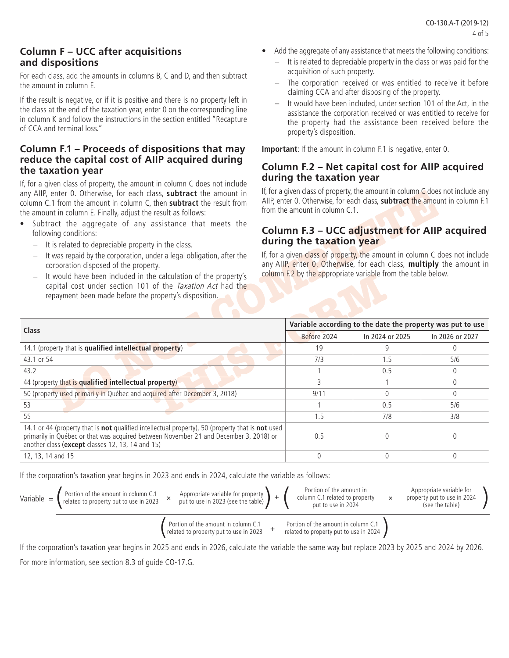### **Column F – UCC after acquisitions and dispositions**

For each class, add the amounts in columns B, C and D, and then subtract the amount in column E.

If the result is negative, or if it is positive and there is no property left in the class at the end of the taxation year, enter 0 on the corresponding line in column K and follow the instructions in the section entitled "Recapture of CCA and terminal loss."

#### **Column F.1 – Proceeds of dispositions that may reduce the capital cost of AIIP acquired during the taxation year**

If, for a given class of property, the amount in column C does not include any AIIP, enter 0. Otherwise, for each class, **subtract** the amount in column C.1 from the amount in column C, then **subtract** the result from the amount in column E. Finally, adjust the result as follows:

- Subtract the aggregate of any assistance that meets the following conditions:
	- It is related to depreciable property in the class.
	- It was repaid by the corporation, under a legal obligation, after the corporation disposed of the property.
	- It would have been included in the calculation of the property's capital cost under section 101 of the Taxation Act had the repayment been made before the property's disposition.
- Add the aggregate of any assistance that meets the following conditions:
	- It is related to depreciable property in the class or was paid for the acquisition of such property.
	- The corporation received or was entitled to receive it before claiming CCA and after disposing of the property.
	- It would have been included, under section 101 of the Act, in the assistance the corporation received or was entitled to receive for the property had the assistance been received before the property's disposition.

**Important**: If the amount in column F.1 is negative, enter 0.

#### **Column F.2 – Net capital cost for AIIP acquired during the taxation year**

If, for a given class of property, the amount in column  $C$  does not include any AIIP, enter 0. Otherwise, for each class, **subtract** the amount in column F.1 from the amount in column C.1.

### **Column F.3 – UCC adjustment for AIIP acquired during the taxation year**

| any AllP, enter 0. Otherwise, for each class, subtract the amount in<br>column C.1 from the amount in column C, then subtract the result from<br>the amount in column E. Finally, adjust the result as follows:                                        | from the amount in column C.1. | If, for a given class of property, the amount in column $\mathsf C$ does not include any<br>AllP, enter 0. Otherwise, for each class, subtract the amount in column F.1 |                                                                            |
|--------------------------------------------------------------------------------------------------------------------------------------------------------------------------------------------------------------------------------------------------------|--------------------------------|-------------------------------------------------------------------------------------------------------------------------------------------------------------------------|----------------------------------------------------------------------------|
| • Subtract the aggregate of any assistance that meets the<br>following conditions:<br>It is related to depreciable property in the class.<br>It was repaid by the corporation, under a legal obligation, after the                                     | during the taxation year       | Column F.3 - UCC adjustment for AIIP acquired                                                                                                                           | If, for a given class of property, the amount in column C does not include |
| corporation disposed of the property.<br>It would have been included in the calculation of the property's<br>$\qquad \qquad -$<br>capital cost under section 101 of the Taxation Act had the<br>repayment been made before the property's disposition. |                                | column F.2 by the appropriate variable from the table below.                                                                                                            | any AllP, enter 0. Otherwise, for each class, multiply the amount in       |
| Class                                                                                                                                                                                                                                                  |                                | Variable according to the date the property was put to use                                                                                                              |                                                                            |
|                                                                                                                                                                                                                                                        | Before 2024                    | In 2024 or 2025                                                                                                                                                         | In 2026 or 2027                                                            |
| 14.1 (property that is qualified intellectual property)                                                                                                                                                                                                | 19                             | 9                                                                                                                                                                       | $\mathbf{0}$                                                               |
| 43.1 or 54                                                                                                                                                                                                                                             | 7/3                            | 1.5                                                                                                                                                                     | 5/6                                                                        |
| 43.2                                                                                                                                                                                                                                                   |                                | 0.5                                                                                                                                                                     | $\mathbf{0}$                                                               |
| 44 (property that is qualified intellectual property)                                                                                                                                                                                                  | 3                              |                                                                                                                                                                         | $\Omega$                                                                   |
| 50 (property used primarily in Québec and acquired after December 3, 2018)                                                                                                                                                                             | 9/11                           | $\mathbf{0}$                                                                                                                                                            | $\Omega$                                                                   |
| 53                                                                                                                                                                                                                                                     |                                | 0.5                                                                                                                                                                     | 5/6                                                                        |
| 55                                                                                                                                                                                                                                                     | 1.5                            | 7/8                                                                                                                                                                     | 3/8                                                                        |
| 14.1 or 44 (property that is not qualified intellectual property), 50 (property that is not used<br>primarily in Québec or that was acquired between November 21 and December 3, 2018) or<br>another class (except classes 12, 13, 14 and 15)          | 0.5                            | $\mathbf{0}$                                                                                                                                                            | $\mathbf{0}$                                                               |
| 12, 13, 14 and 15                                                                                                                                                                                                                                      | $\overline{0}$                 | $\overline{0}$                                                                                                                                                          | $\overline{0}$                                                             |

If the corporation's taxation year begins in 2023 and ends in 2024, calculate the variable as follows:



Portion of the amount in column C.1 related to property put to use in 2023  $+$ 

Portion of the amount in column C.1 related to property put to use in 2024

If the corporation's taxation year begins in 2025 and ends in 2026, calculate the variable the same way but replace 2023 by 2025 and 2024 by 2026. For more information, see section 8.3 of guide CO-17.G.